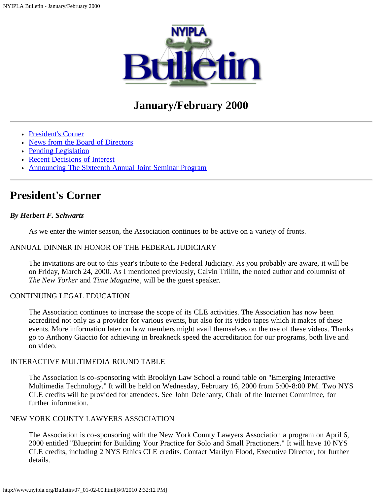

# **January/February 2000**

- [President's Corner](#page-0-0)
- [News from the Board of Directors](#page-1-0)
- [Pending Legislation](#page-3-0)
- [Recent Decisions of Interest](#page-6-0)
- [Announcing The Sixteenth Annual Joint Seminar Program](#page-10-0)

## <span id="page-0-0"></span>**President's Corner**

#### *By Herbert F. Schwartz*

As we enter the winter season, the Association continues to be active on a variety of fronts.

#### ANNUAL DINNER IN HONOR OF THE FEDERAL JUDICIARY

The invitations are out to this year's tribute to the Federal Judiciary. As you probably are aware, it will be on Friday, March 24, 2000. As I mentioned previously, Calvin Trillin, the noted author and columnist of *The New Yorker* and *Time Magazine*, will be the guest speaker.

#### CONTINUING LEGAL EDUCATION

The Association continues to increase the scope of its CLE activities. The Association has now been accredited not only as a provider for various events, but also for its video tapes which it makes of these events. More information later on how members might avail themselves on the use of these videos. Thanks go to Anthony Giaccio for achieving in breakneck speed the accreditation for our programs, both live and on video.

#### INTERACTIVE MULTIMEDIA ROUND TABLE

The Association is co-sponsoring with Brooklyn Law School a round table on "Emerging Interactive Multimedia Technology." It will be held on Wednesday, February 16, 2000 from 5:00-8:00 PM. Two NYS CLE credits will be provided for attendees. See John Delehanty, Chair of the Internet Committee, for further information.

#### NEW YORK COUNTY LAWYERS ASSOCIATION

The Association is co-sponsoring with the New York County Lawyers Association a program on April 6, 2000 entitled "Blueprint for Building Your Practice for Solo and Small Practioners." It will have 10 NYS CLE credits, including 2 NYS Ethics CLE credits. Contact Marilyn Flood, Executive Director, for further details.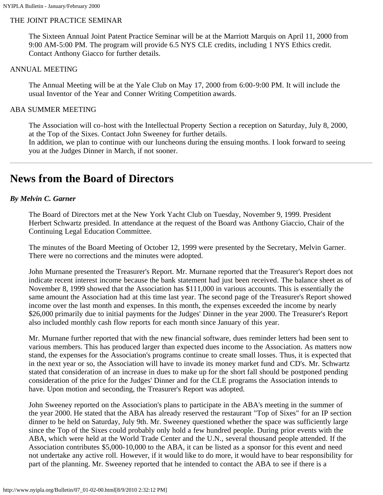#### THE JOINT PRACTICE SEMINAR

The Sixteen Annual Joint Patent Practice Seminar will be at the Marriott Marquis on April 11, 2000 from 9:00 AM-5:00 PM. The program will provide 6.5 NYS CLE credits, including 1 NYS Ethics credit. Contact Anthony Giacco for further details.

#### ANNUAL MEETING

The Annual Meeting will be at the Yale Club on May 17, 2000 from 6:00-9:00 PM. It will include the usual Inventor of the Year and Conner Writing Competition awards.

#### ABA SUMMER MEETING

The Association will co-host with the Intellectual Property Section a reception on Saturday, July 8, 2000, at the Top of the Sixes. Contact John Sweeney for further details.

In addition, we plan to continue with our luncheons during the ensuing months. I look forward to seeing you at the Judges Dinner in March, if not sooner.

## <span id="page-1-0"></span>**News from the Board of Directors**

#### *By Melvin C. Garner*

The Board of Directors met at the New York Yacht Club on Tuesday, November 9, 1999. President Herbert Schwartz presided. In attendance at the request of the Board was Anthony Giaccio, Chair of the Continuing Legal Education Committee.

The minutes of the Board Meeting of October 12, 1999 were presented by the Secretary, Melvin Garner. There were no corrections and the minutes were adopted.

John Murnane presented the Treasurer's Report. Mr. Murnane reported that the Treasurer's Report does not indicate recent interest income because the bank statement had just been received. The balance sheet as of November 8, 1999 showed that the Association has \$111,000 in various accounts. This is essentially the same amount the Association had at this time last year. The second page of the Treasurer's Report showed income over the last month and expenses. In this month, the expenses exceeded the income by nearly \$26,000 primarily due to initial payments for the Judges' Dinner in the year 2000. The Treasurer's Report also included monthly cash flow reports for each month since January of this year.

Mr. Murnane further reported that with the new financial software, dues reminder letters had been sent to various members. This has produced larger than expected dues income to the Association. As matters now stand, the expenses for the Association's programs continue to create small losses. Thus, it is expected that in the next year or so, the Association will have to invade its money market fund and CD's. Mr. Schwartz stated that consideration of an increase in dues to make up for the short fall should be postponed pending consideration of the price for the Judges' Dinner and for the CLE programs the Association intends to have. Upon motion and seconding, the Treasurer's Report was adopted.

John Sweeney reported on the Association's plans to participate in the ABA's meeting in the summer of the year 2000. He stated that the ABA has already reserved the restaurant "Top of Sixes" for an IP section dinner to be held on Saturday, July 9th. Mr. Sweeney questioned whether the space was sufficiently large since the Top of the Sixes could probably only hold a few hundred people. During prior events with the ABA, which were held at the World Trade Center and the U.N., several thousand people attended. If the Association contributes \$5,000-10,000 to the ABA, it can be listed as a sponsor for this event and need not undertake any active roll. However, if it would like to do more, it would have to bear responsibility for part of the planning. Mr. Sweeney reported that he intended to contact the ABA to see if there is a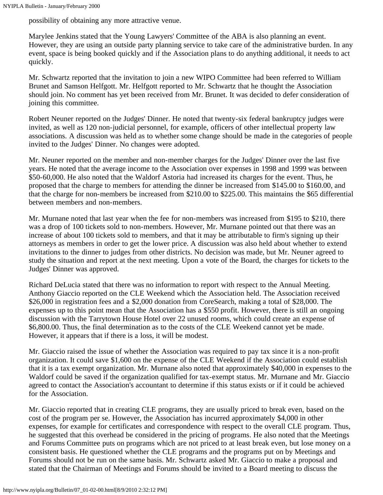possibility of obtaining any more attractive venue.

Marylee Jenkins stated that the Young Lawyers' Committee of the ABA is also planning an event. However, they are using an outside party planning service to take care of the administrative burden. In any event, space is being booked quickly and if the Association plans to do anything additional, it needs to act quickly.

Mr. Schwartz reported that the invitation to join a new WIPO Committee had been referred to William Brunet and Samson Helfgott. Mr. Helfgott reported to Mr. Schwartz that he thought the Association should join. No comment has yet been received from Mr. Brunet. It was decided to defer consideration of joining this committee.

Robert Neuner reported on the Judges' Dinner. He noted that twenty-six federal bankruptcy judges were invited, as well as 120 non-judicial personnel, for example, officers of other intellectual property law associations. A discussion was held as to whether some change should be made in the categories of people invited to the Judges' Dinner. No changes were adopted.

Mr. Neuner reported on the member and non-member charges for the Judges' Dinner over the last five years. He noted that the average income to the Association over expenses in 1998 and 1999 was between \$50-60,000. He also noted that the Waldorf Astoria had increased its charges for the event. Thus, he proposed that the charge to members for attending the dinner be increased from \$145.00 to \$160.00, and that the charge for non-members be increased from \$210.00 to \$225.00. This maintains the \$65 differential between members and non-members.

Mr. Murnane noted that last year when the fee for non-members was increased from \$195 to \$210, there was a drop of 100 tickets sold to non-members. However, Mr. Murnane pointed out that there was an increase of about 100 tickets sold to members, and that it may be attributable to firm's signing up their attorneys as members in order to get the lower price. A discussion was also held about whether to extend invitations to the dinner to judges from other districts. No decision was made, but Mr. Neuner agreed to study the situation and report at the next meeting. Upon a vote of the Board, the charges for tickets to the Judges' Dinner was approved.

Richard DeLucia stated that there was no information to report with respect to the Annual Meeting. Anthony Giaccio reported on the CLE Weekend which the Association held. The Association received \$26,000 in registration fees and a \$2,000 donation from CoreSearch, making a total of \$28,000. The expenses up to this point mean that the Association has a \$550 profit. However, there is still an ongoing discussion with the Tarrytown House Hotel over 22 unused rooms, which could create an expense of \$6,800.00. Thus, the final determination as to the costs of the CLE Weekend cannot yet be made. However, it appears that if there is a loss, it will be modest.

Mr. Giaccio raised the issue of whether the Association was required to pay tax since it is a non-profit organization. It could save \$1,600 on the expense of the CLE Weekend if the Association could establish that it is a tax exempt organization. Mr. Murnane also noted that approximately \$40,000 in expenses to the Waldorf could be saved if the organization qualified for tax-exempt status. Mr. Murnane and Mr. Giaccio agreed to contact the Association's accountant to determine if this status exists or if it could be achieved for the Association.

Mr. Giaccio reported that in creating CLE programs, they are usually priced to break even, based on the cost of the program per se. However, the Association has incurred approximately \$4,000 in other expenses, for example for certificates and correspondence with respect to the overall CLE program. Thus, he suggested that this overhead be considered in the pricing of programs. He also noted that the Meetings and Forums Committee puts on programs which are not priced to at least break even, but lose money on a consistent basis. He questioned whether the CLE programs and the programs put on by Meetings and Forums should not be run on the same basis. Mr. Schwartz asked Mr. Giaccio to make a proposal and stated that the Chairman of Meetings and Forums should be invited to a Board meeting to discuss the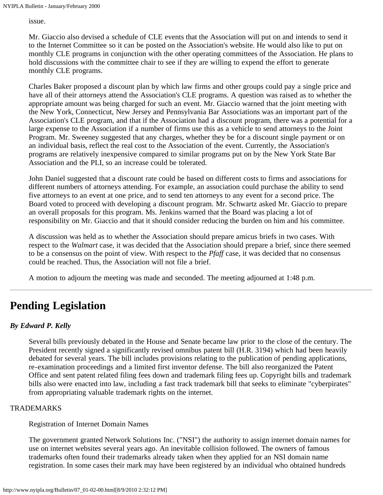issue.

Mr. Giaccio also devised a schedule of CLE events that the Association will put on and intends to send it to the Internet Committee so it can be posted on the Association's website. He would also like to put on monthly CLE programs in conjunction with the other operating committees of the Association. He plans to hold discussions with the committee chair to see if they are willing to expend the effort to generate monthly CLE programs.

Charles Baker proposed a discount plan by which law firms and other groups could pay a single price and have all of their attorneys attend the Association's CLE programs. A question was raised as to whether the appropriate amount was being charged for such an event. Mr. Giaccio warned that the joint meeting with the New York, Connecticut, New Jersey and Pennsylvania Bar Associations was an important part of the Association's CLE program, and that if the Association had a discount program, there was a potential for a large expense to the Association if a number of firms use this as a vehicle to send attorneys to the Joint Program. Mr. Sweeney suggested that any charges, whether they be for a discount single payment or on an individual basis, reflect the real cost to the Association of the event. Currently, the Association's programs are relatively inexpensive compared to similar programs put on by the New York State Bar Association and the PLI, so an increase could be tolerated.

John Daniel suggested that a discount rate could be based on different costs to firms and associations for different numbers of attorneys attending. For example, an association could purchase the ability to send five attorneys to an event at one price, and to send ten attorneys to any event for a second price. The Board voted to proceed with developing a discount program. Mr. Schwartz asked Mr. Giaccio to prepare an overall proposals for this program. Ms. Jenkins warned that the Board was placing a lot of responsibility on Mr. Giaccio and that it should consider reducing the burden on him and his committee.

A discussion was held as to whether the Association should prepare amicus briefs in two cases. With respect to the *Walmart* case, it was decided that the Association should prepare a brief, since there seemed to be a consensus on the point of view. With respect to the *Pfaff* case, it was decided that no consensus could be reached. Thus, the Association will not file a brief.

A motion to adjourn the meeting was made and seconded. The meeting adjourned at 1:48 p.m.

# <span id="page-3-0"></span>**Pending Legislation**

## *By Edward P. Kelly*

Several bills previously debated in the House and Senate became law prior to the close of the century. The President recently signed a significantly revised omnibus patent bill (H.R. 3194) which had been heavily debated for several years. The bill includes provisions relating to the publication of pending applications, re-examination proceedings and a limited first inventor defense. The bill also reorganized the Patent Office and sent patent related filing fees down and trademark filing fees up. Copyright bills and trademark bills also were enacted into law, including a fast track trademark bill that seeks to eliminate "cyberpirates" from appropriating valuable trademark rights on the internet.

#### TRADEMARKS

### Registration of Internet Domain Names

The government granted Network Solutions Inc. ("NSI") the authority to assign internet domain names for use on internet websites several years ago. An inevitable collision followed. The owners of famous trademarks often found their trademarks already taken when they applied for an NSI domain name registration. In some cases their mark may have been registered by an individual who obtained hundreds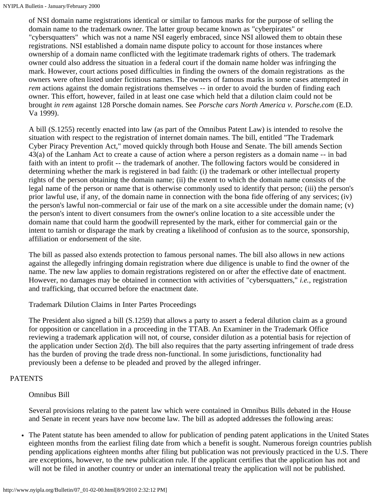of NSI domain name registrations identical or similar to famous marks for the purpose of selling the domain name to the trademark owner. The latter group became known as "cyberpirates" or "cybersquatters" which was not a name NSI eagerly embraced, since NSI allowed them to obtain these registrations. NSI established a domain name dispute policy to account for those instances where ownership of a domain name conflicted with the legitimate trademark rights of others. The trademark owner could also address the situation in a federal court if the domain name holder was infringing the mark. However, court actions posed difficulties in finding the owners of the domain registrations as the owners were often listed under fictitious names. The owners of famous marks in some cases attempted *in rem* actions against the domain registrations themselves -- in order to avoid the burden of finding each owner. This effort, however, failed in at least one case which held that a dilution claim could not be brought *in rem* against 128 Porsche domain names. See *Porsche cars North America v. Porsche.com* (E.D. Va 1999).

A bill (S.1255) recently enacted into law (as part of the Omnibus Patent Law) is intended to resolve the situation with respect to the registration of internet domain names. The bill, entitled "The Trademark Cyber Piracy Prevention Act," moved quickly through both House and Senate. The bill amends Section 43(a) of the Lanham Act to create a cause of action where a person registers as a domain name -- in bad faith with an intent to profit -- the trademark of another. The following factors would be considered in determining whether the mark is registered in bad faith: (i) the trademark or other intellectual property rights of the person obtaining the domain name; (ii) the extent to which the domain name consists of the legal name of the person or name that is otherwise commonly used to identify that person; (iii) the person's prior lawful use, if any, of the domain name in connection with the bona fide offering of any services; (iv) the person's lawful non-commercial or fair use of the mark on a site accessible under the domain name; (v) the person's intent to divert consumers from the owner's online location to a site accessible under the domain name that could harm the goodwill represented by the mark, either for commercial gain or the intent to tarnish or disparage the mark by creating a likelihood of confusion as to the source, sponsorship, affiliation or endorsement of the site.

The bill as passed also extends protection to famous personal names. The bill also allows in new actions against the allegedly infringing domain registration where due diligence is unable to find the owner of the name. The new law applies to domain registrations registered on or after the effective date of enactment. However, no damages may be obtained in connection with activities of "cybersquatters," *i.e.,* registration and trafficking, that occurred before the enactment date.

Trademark Dilution Claims in Inter Partes Proceedings

The President also signed a bill (S.1259) that allows a party to assert a federal dilution claim as a ground for opposition or cancellation in a proceeding in the TTAB. An Examiner in the Trademark Office reviewing a trademark application will not, of course, consider dilution as a potential basis for rejection of the application under Section 2(d). The bill also requires that the party asserting infringement of trade dress has the burden of proving the trade dress non-functional. In some jurisdictions, functionality had previously been a defense to be pleaded and proved by the alleged infringer.

## PATENTS

### Omnibus Bill

Several provisions relating to the patent law which were contained in Omnibus Bills debated in the House and Senate in recent years have now become law. The bill as adopted addresses the following areas:

The Patent statute has been amended to allow for publication of pending patent applications in the United States  $\bullet$ eighteen months from the earliest filing date from which a benefit is sought. Numerous foreign countries publish pending applications eighteen months after filing but publication was not previously practiced in the U.S. There are exceptions, however, to the new publication rule. If the applicant certifies that the application has not and will not be filed in another country or under an international treaty the application will not be published.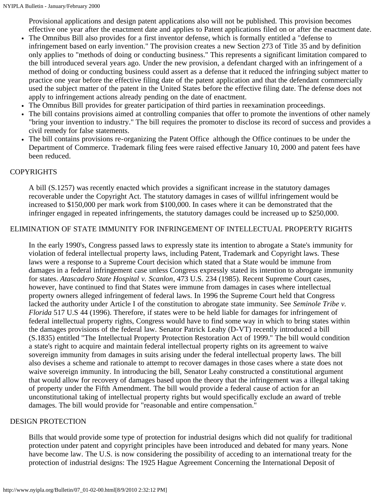Provisional applications and design patent applications also will not be published. This provision becomes effective one year after the enactment date and applies to Patent applications filed on or after the enactment date.

- The Omnibus Bill also provides for a first inventor defense, which is formally entitled a "defense to infringement based on early invention." The provision creates a new Section 273 of Title 35 and by definition only applies to "methods of doing or conducting business." This represents a significant limitation compared to the bill introduced several years ago. Under the new provision, a defendant charged with an infringement of a method of doing or conducting business could assert as a defense that it reduced the infringing subject matter to practice one year before the effective filing date of the patent application and that the defendant commercially used the subject matter of the patent in the United States before the effective filing date. The defense does not apply to infringement actions already pending on the date of enactment.
- The Omnibus Bill provides for greater participation of third parties in reexamination proceedings.
- The bill contains provisions aimed at controlling companies that offer to promote the inventions of other namely "bring your invention to industry." The bill requires the promoter to disclose its record of success and provides a civil remedy for false statements.
- The bill contains provisions re-organizing the Patent Office although the Office continues to be under the  $\bullet$ Department of Commerce. Trademark filing fees were raised effective January 10, 2000 and patent fees have been reduced.

### COPYRIGHTS

A bill (S.1257) was recently enacted which provides a significant increase in the statutory damages recoverable under the Copyright Act. The statutory damages in cases of willful infringement would be increased to \$150,000 per mark work from \$100,000. In cases where it can be demonstrated that the infringer engaged in repeated infringements, the statutory damages could be increased up to \$250,000.

## ELIMINATION OF STATE IMMUNITY FOR INFRINGEMENT OF INTELLECTUAL PROPERTY RIGHTS

In the early 1990's, Congress passed laws to expressly state its intention to abrogate a State's immunity for violation of federal intellectual property laws, including Patent, Trademark and Copyright laws. These laws were a response to a Supreme Court decision which stated that a State would be immune from damages in a federal infringement case unless Congress expressly stated its intention to abrogate immunity for states. *Atascadero State Hospital v. Scanlon*, 473 U.S. 234 (1985). Recent Supreme Court cases, however, have continued to find that States were immune from damages in cases where intellectual property owners alleged infringement of federal laws. In 1996 the Supreme Court held that Congress lacked the authority under Article I of the constitution to abrogate state immunity. See *Seminole Tribe v. Florida* 517 U.S 44 (1996). Therefore, if states were to be held liable for damages for infringement of federal intellectual property rights, Congress would have to find some way in which to bring states within the damages provisions of the federal law. Senator Patrick Leahy (D-VT) recently introduced a bill (S.1835) entitled "The Intellectual Property Protection Restoration Act of 1999." The bill would condition a state's right to acquire and maintain federal intellectual property rights on its agreement to waive sovereign immunity from damages in suits arising under the federal intellectual property laws. The bill also devises a scheme and rationale to attempt to recover damages in those cases where a state does not waive sovereign immunity. In introducing the bill, Senator Leahy constructed a constitutional argument that would allow for recovery of damages based upon the theory that the infringement was a illegal taking of property under the Fifth Amendment. The bill would provide a federal cause of action for an unconstitutional taking of intellectual property rights but would specifically exclude an award of treble damages. The bill would provide for "reasonable and entire compensation."

### DESIGN PROTECTION

Bills that would provide some type of protection for industrial designs which did not qualify for traditional protection under patent and copyright principles have been introduced and debated for many years. None have become law. The U.S. is now considering the possibility of acceding to an international treaty for the protection of industrial designs: The 1925 Hague Agreement Concerning the International Deposit of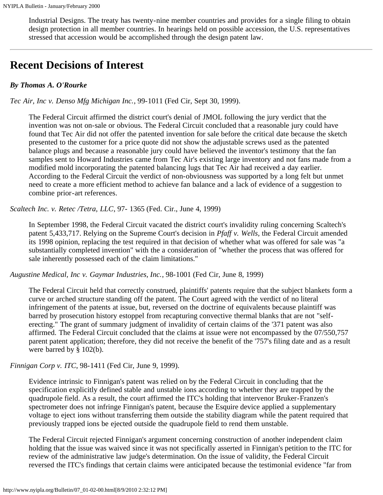Industrial Designs. The treaty has twenty-nine member countries and provides for a single filing to obtain design protection in all member countries. In hearings held on possible accession, the U.S. representatives stressed that accession would be accomplished through the design patent law.

## <span id="page-6-0"></span>**Recent Decisions of Interest**

## *By Thomas A. O'Rourke*

*Tec Air, Inc v. Denso Mfg Michigan Inc.*, 99-1011 (Fed Cir, Sept 30, 1999).

The Federal Circuit affirmed the district court's denial of JMOL following the jury verdict that the invention was not on-sale or obvious. The Federal Circuit concluded that a reasonable jury could have found that Tec Air did not offer the patented invention for sale before the critical date because the sketch presented to the customer for a price quote did not show the adjustable screws used as the patented balance plugs and because a reasonable jury could have believed the inventor's testimony that the fan samples sent to Howard Industries came from Tec Air's existing large inventory and not fans made from a modified mold incorporating the patented balancing lugs that Tec Air had received a day earlier. According to the Federal Circuit the verdict of non-obviousness was supported by a long felt but unmet need to create a more efficient method to achieve fan balance and a lack of evidence of a suggestion to combine prior-art references.

*Scaltech Inc. v. Retec /Tetra, LLC*, 97- 1365 (Fed. Cir., June 4, 1999)

In September 1998, the Federal Circuit vacated the district court's invalidity ruling concerning Scaltech's patent 5,433,717. Relying on the Supreme Court's decision in *Pfaff v. Wells,* the Federal Circuit amended its 1998 opinion, replacing the test required in that decision of whether what was offered for sale was "a substantially completed invention" with the a consideration of "whether the process that was offered for sale inherently possessed each of the claim limitations."

*Augustine Medical, Inc v. Gaymar Industries, Inc.*, 98-1001 (Fed Cir, June 8, 1999)

The Federal Circuit held that correctly construed, plaintiffs' patents require that the subject blankets form a curve or arched structure standing off the patent. The Court agreed with the verdict of no literal infringement of the patents at issue, but, reversed on the doctrine of equivalents because plaintiff was barred by prosecution history estoppel from recapturing convective thermal blanks that are not "selferecting." The grant of summary judgment of invalidity of certain claims of the '371 patent was also affirmed. The Federal Circuit concluded that the claims at issue were not encompassed by the 07/550,757 parent patent application; therefore, they did not receive the benefit of the '757's filing date and as a result were barred by § 102(b).

*Finnigan Corp v. ITC*, 98-1411 (Fed Cir, June 9, 1999).

Evidence intrinsic to Finnigan's patent was relied on by the Federal Circuit in concluding that the specification explicitly defined stable and unstable ions according to whether they are trapped by the quadrupole field. As a result, the court affirmed the ITC's holding that intervenor Bruker-Franzen's spectrometer does not infringe Finnigan's patent, because the Esquire device applied a supplementary voltage to eject ions without transferring them outside the stability diagram while the patent required that previously trapped ions be ejected outside the quadrupole field to rend them unstable.

The Federal Circuit rejected Finnigan's argument concerning construction of another independent claim holding that the issue was waived since it was not specifically asserted in Finnigan's petition to the ITC for review of the administrative law judge's determination. On the issue of validity, the Federal Circuit reversed the ITC's findings that certain claims were anticipated because the testimonial evidence "far from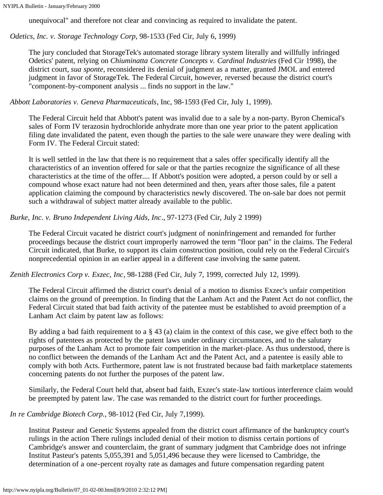unequivocal" and therefore not clear and convincing as required to invalidate the patent.

*Odetics, Inc. v. Storage Technology Corp*, 98-1533 (Fed Cir, July 6, 1999)

The jury concluded that StorageTek's automated storage library system literally and willfully infringed Odetics' patent, relying on *Chiuminatta Concrete Concepts v. Cardinal Industries* (Fed Cir 1998), the district court, *sua sponte*, reconsidered its denial of judgment as a matter, granted JMOL and entered judgment in favor of StorageTek. The Federal Circuit, however, reversed because the district court's "component-by-component analysis ... finds no support in the law."

*Abbott Laboratories v. Geneva Pharmaceuticals*, Inc, 98-1593 (Fed Cir, July 1, 1999).

The Federal Circuit held that Abbott's patent was invalid due to a sale by a non-party. Byron Chemical's sales of Form IV terazosin hydrochloride anhydrate more than one year prior to the patent application filing date invalidated the patent, even though the parties to the sale were unaware they were dealing with Form IV. The Federal Circuit stated:

It is well settled in the law that there is no requirement that a sales offer specifically identify all the characteristics of an invention offered for sale or that the parties recognize the significance of all these characteristics at the time of the offer.... If Abbott's position were adopted, a person could by or sell a compound whose exact nature had not been determined and then, years after those sales, file a patent application claiming the compound by characteristics newly discovered. The on-sale bar does not permit such a withdrawal of subject matter already available to the public.

## *Burke, Inc. v. Bruno Independent Living Aids, Inc*., 97-1273 (Fed Cir, July 2 1999)

The Federal Circuit vacated he district court's judgment of noninfringement and remanded for further proceedings because the district court improperly narrowed the term "floor pan" in the claims. The Federal Circuit indicated, that Burke, to support its claim construction position, could rely on the Federal Circuit's nonprecedential opinion in an earlier appeal in a different case involving the same patent.

*Zenith Electronics Corp v. Exzec, Inc*, 98-1288 (Fed Cir, July 7, 1999, corrected July 12, 1999).

The Federal Circuit affirmed the district court's denial of a motion to dismiss Exzec's unfair competition claims on the ground of preemption. In finding that the Lanham Act and the Patent Act do not conflict, the Federal Circuit stated that bad faith activity of the patentee must be established to avoid preemption of a Lanham Act claim by patent law as follows:

By adding a bad faith requirement to a § 43 (a) claim in the context of this case, we give effect both to the rights of patentees as protected by the patent laws under ordinary circumstances, and to the salutary purposes of the Lanham Act to promote fair competition in the market-place. As thus understood, there is no conflict between the demands of the Lanham Act and the Patent Act, and a patentee is easily able to comply with both Acts. Furthermore, patent law is not frustrated because bad faith marketplace statements concerning patents do not further the purposes of the patent law.

Similarly, the Federal Court held that, absent bad faith, Exzec's state-law tortious interference claim would be preempted by patent law. The case was remanded to the district court for further proceedings.

*In re Cambridge Biotech Corp.*, 98-1012 (Fed Cir, July 7,1999).

Institut Pasteur and Genetic Systems appealed from the district court affirmance of the bankruptcy court's rulings in the action There rulings included denial of their motion to dismiss certain portions of Cambridge's answer and counterclaim, the grant of summary judgment that Cambridge does not infringe Institut Pasteur's patents 5,055,391 and 5,051,496 because they were licensed to Cambridge, the determination of a one-percent royalty rate as damages and future compensation regarding patent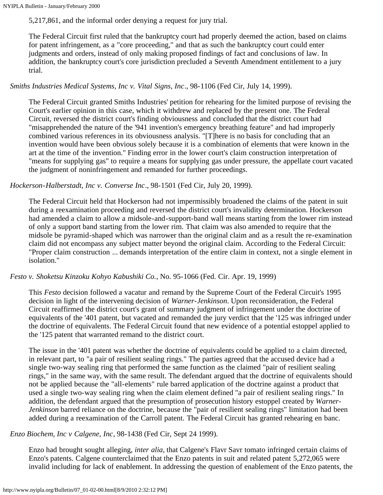5,217,861, and the informal order denying a request for jury trial.

The Federal Circuit first ruled that the bankruptcy court had properly deemed the action, based on claims for patent infringement, as a "core proceeding," and that as such the bankruptcy court could enter judgments and orders, instead of only making proposed findings of fact and conclusions of law. In addition, the bankruptcy court's core jurisdiction precluded a Seventh Amendment entitlement to a jury trial.

### *Smiths Industries Medical Systems, Inc v. Vital Signs, Inc*., 98-1106 (Fed Cir, July 14, 1999).

The Federal Circuit granted Smiths Industries' petition for rehearing for the limited purpose of revising the Court's earlier opinion in this case, which it withdrew and replaced by the present one. The Federal Circuit, reversed the district court's finding obviousness and concluded that the district court had "misapprehended the nature of the '941 invention's emergency breathing feature" and had improperly combined various references in its obviousness analysis. "[T]here is no basis for concluding that an invention would have been obvious solely because it is a combination of elements that were known in the art at the time of the invention." Finding error in the lower court's claim construction interpretation of "means for supplying gas" to require a means for supplying gas under pressure, the appellate court vacated the judgment of noninfringement and remanded for further proceedings.

### *Hockerson-Halberstadt, Inc v. Converse Inc*., 98-1501 (Fed Cir, July 20, 1999).

The Federal Circuit held that Hockerson had not impermissibly broadened the claims of the patent in suit during a reexamination proceeding and reversed the district court's invalidity determination. Hockerson had amended a claim to allow a midsole-and-support-band wall means starting from the lower rim instead of only a support band starting from the lower rim. That claim was also amended to require that the midsole be pyramid-shaped which was narrower than the original claim and as a result the re-examination claim did not encompass any subject matter beyond the original claim. According to the Federal Circuit: "Proper claim construction ... demands interpretation of the entire claim in context, not a single element in isolation."

### *Festo v. Shoketsu Kinzoku Kohyo Kabushiki Co.*, No. 95-1066 (Fed. Cir. Apr. 19, 1999)

This *Festo* decision followed a vacatur and remand by the Supreme Court of the Federal Circuit's 1995 decision in light of the intervening decision of *Warner-Jenkinson*. Upon reconsideration, the Federal Circuit reaffirmed the district court's grant of summary judgment of infringement under the doctrine of equivalents of the '401 patent, but vacated and remanded the jury verdict that the '125 was infringed under the doctrine of equivalents. The Federal Circuit found that new evidence of a potential estoppel applied to the '125 patent that warranted remand to the district court.

The issue in the '401 patent was whether the doctrine of equivalents could be applied to a claim directed, in relevant part, to "a pair of resilient sealing rings." The parties agreed that the accused device had a single two-way sealing ring that performed the same function as the claimed "pair of resilient sealing rings," in the same way, with the same result. The defendant argued that the doctrine of equivalents should not be applied because the "all-elements" rule barred application of the doctrine against a product that used a single two-way sealing ring when the claim element defined "a pair of resilient sealing rings." In addition, the defendant argued that the presumption of prosecution history estoppel created by *Warner-Jenkinson* barred reliance on the doctrine, because the "pair of resilient sealing rings" limitation had been added during a reexamination of the Carroll patent. The Federal Circuit has granted rehearing en banc.

### *Enzo Biochem, Inc v Calgene, Inc*, 98-1438 (Fed Cir, Sept 24 1999).

Enzo had brought sought alleging, *inter alia*, that Calgene's Flavr Savr tomato infringed certain claims of Enzo's patents. Calgene counterclaimed that the Enzo patents in suit and related patent 5,272,065 were invalid including for lack of enablement. In addressing the question of enablement of the Enzo patents, the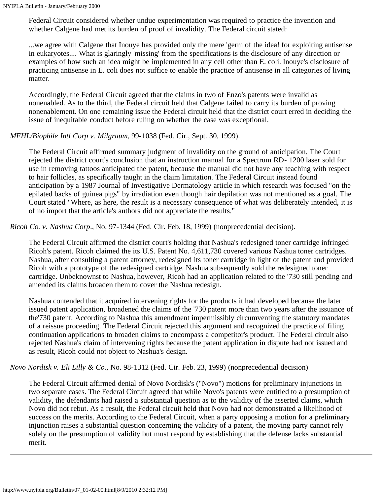Federal Circuit considered whether undue experimentation was required to practice the invention and whether Calgene had met its burden of proof of invalidity. The Federal circuit stated:

...we agree with Calgene that Inouye has provided only the mere 'germ of the idea! for exploiting antisense in eukaryotes.... What is glaringly 'missing' from the specifications is the disclosure of any direction or examples of how such an idea might be implemented in any cell other than E. coli. Inouye's disclosure of practicing antisense in E. coli does not suffice to enable the practice of antisense in all categories of living matter.

Accordingly, the Federal Circuit agreed that the claims in two of Enzo's patents were invalid as nonenabled. As to the third, the Federal circuit held that Calgene failed to carry its burden of proving nonenablement. On one remaining issue the Federal circuit held that the district court erred in deciding the issue of inequitable conduct before ruling on whether the case was exceptional.

#### *MEHL/Biophile Intl Corp v. Milgraum*, 99-1038 (Fed. Cir., Sept. 30, 1999).

The Federal Circuit affirmed summary judgment of invalidity on the ground of anticipation. The Court rejected the district court's conclusion that an instruction manual for a Spectrum RD- 1200 laser sold for use in removing tattoos anticipated the patent, because the manual did not have any teaching with respect to hair follicles, as specifically taught in the claim limitation. The Federal Circuit instead found anticipation by a 1987 Journal of Investigative Dermatology article in which research was focused "on the epilated backs of guinea pigs" by irradiation even though hair depilation was not mentioned as a goal. The Court stated "Where, as here, the result is a necessary consequence of what was deliberately intended, it is of no import that the article's authors did not appreciate the results."

*Ricoh Co. v. Nashua Corp*., No. 97-1344 (Fed. Cir. Feb. 18, 1999) (nonprecedential decision).

The Federal Circuit affirmed the district court's holding that Nashua's redesigned toner cartridge infringed Ricoh's patent. Ricoh claimed the its U.S. Patent No. 4,611,730 covered various Nashua toner cartridges. Nashua, after consulting a patent attorney, redesigned its toner cartridge in light of the patent and provided Ricoh with a prototype of the redesigned cartridge. Nashua subsequently sold the redesigned toner cartridge. Unbeknownst to Nashua, however, Ricoh had an application related to the '730 still pending and amended its claims broaden them to cover the Nashua redesign.

Nashua contended that it acquired intervening rights for the products it had developed because the later issued patent application, broadened the claims of the '730 patent more than two years after the issuance of the'730 patent. According to Nashua this amendment impermissibly circumventing the statutory mandates of a reissue proceeding. The Federal Circuit rejected this argument and recognized the practice of filing continuation applications to broaden claims to encompass a competitor's product. The Federal circuit also rejected Nashua's claim of intervening rights because the patent application in dispute had not issued and as result, Ricoh could not object to Nashua's design.

*Novo Nordisk v. Eli Lilly & Co.,* No. 98-1312 (Fed. Cir. Feb. 23, 1999) (nonprecedential decision)

The Federal Circuit affirmed denial of Novo Nordisk's ("Novo") motions for preliminary injunctions in two separate cases. The Federal Circuit agreed that while Novo's patents were entitled to a presumption of validity, the defendants had raised a substantial question as to the validity of the asserted claims, which Novo did not rebut. As a result, the Federal circuit held that Novo had not demonstrated a likelihood of success on the merits. According to the Federal Circuit, when a party opposing a motion for a preliminary injunction raises a substantial question concerning the validity of a patent, the moving party cannot rely solely on the presumption of validity but must respond by establishing that the defense lacks substantial merit.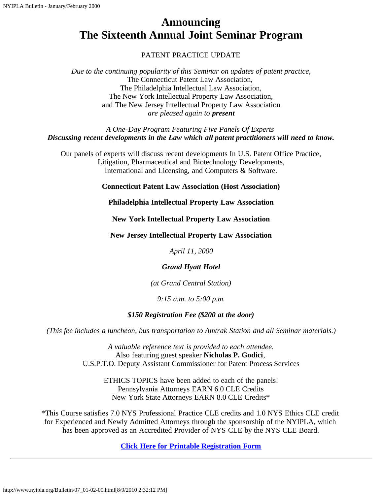# <span id="page-10-0"></span>**Announcing The Sixteenth Annual Joint Seminar Program**

## PATENT PRACTICE UPDATE

*Due to the continuing popularity of this Seminar on updates of patent practice,* The Connecticut Patent Law Association, The Philadelphia Intellectual Law Association, The New York Intellectual Property Law Association, and The New Jersey Intellectual Property Law Association *are pleased again to present*

*A One-Day Program Featuring Five Panels Of Experts Discussing recent developments in the Law which all patent practitioners will need to know.*

Our panels of experts will discuss recent developments In U.S. Patent Office Practice, Litigation, Pharmaceutical and Biotechnology Developments, International and Licensing, and Computers & Software.

**Connecticut Patent Law Association (Host Association)**

**Philadelphia Intellectual Property Law Association**

**New York Intellectual Property Law Association**

**New Jersey Intellectual Property Law Association**

*April 11, 2000*

### *Grand Hyatt Hotel*

*(at Grand Central Station)*

*9:15 a.m. to 5:00 p.m.*

### *\$150 Registration Fee (\$200 at the door)*

*(This fee includes a luncheon, bus transportation to Amtrak Station and all Seminar materials.)*

*A valuable reference text is provided to each attendee.* Also featuring guest speaker **Nicholas P. Godici**, U.S.P.T.O. Deputy Assistant Commissioner for Patent Process Services

ETHICS TOPICS have been added to each of the panels! Pennsylvania Attorneys EARN 6.0 CLE Credits New York State Attorneys EARN 8.0 CLE Credits\*

\*This Course satisfies 7.0 NYS Professional Practice CLE credits and 1.0 NYS Ethics CLE credit for Experienced and Newly Admitted Attorneys through the sponsorship of the NYIPLA, which has been approved as an Accredited Provider of NYS CLE by the NYS CLE Board.

**[Click Here for Printable Registration Form](http://www.nyipla.org/Bulletin/07_aprregis.html)**